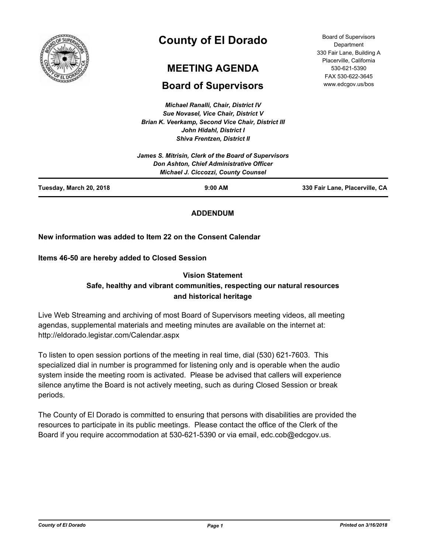

# **County of El Dorado**

## **MEETING AGENDA**

## **Board of Supervisors**

*Michael Ranalli, Chair, District IV Sue Novasel, Vice Chair, District V Brian K. Veerkamp, Second Vice Chair, District III John Hidahl, District I Shiva Frentzen, District II*

| Tuesday, March 20, 2018 | $9:00$ AM                                                                              | 330 Fair Lane, Placerville, CA |
|-------------------------|----------------------------------------------------------------------------------------|--------------------------------|
|                         | Don Ashton, Chief Administrative Officer<br><b>Michael J. Ciccozzi, County Counsel</b> |                                |
|                         | James S. Mitrisin, Clerk of the Board of Supervisors                                   |                                |

## **ADDENDUM**

## **New information was added to Item 22 on the Consent Calendar**

**Items 46-50 are hereby added to Closed Session**

## **Vision Statement Safe, healthy and vibrant communities, respecting our natural resources and historical heritage**

Live Web Streaming and archiving of most Board of Supervisors meeting videos, all meeting agendas, supplemental materials and meeting minutes are available on the internet at: http://eldorado.legistar.com/Calendar.aspx

To listen to open session portions of the meeting in real time, dial (530) 621-7603. This specialized dial in number is programmed for listening only and is operable when the audio system inside the meeting room is activated. Please be advised that callers will experience silence anytime the Board is not actively meeting, such as during Closed Session or break periods.

The County of El Dorado is committed to ensuring that persons with disabilities are provided the resources to participate in its public meetings. Please contact the office of the Clerk of the Board if you require accommodation at 530-621-5390 or via email, edc.cob@edcgov.us.

Board of Supervisors **Department** 330 Fair Lane, Building A Placerville, California 530-621-5390 FAX 530-622-3645 www.edcgov.us/bos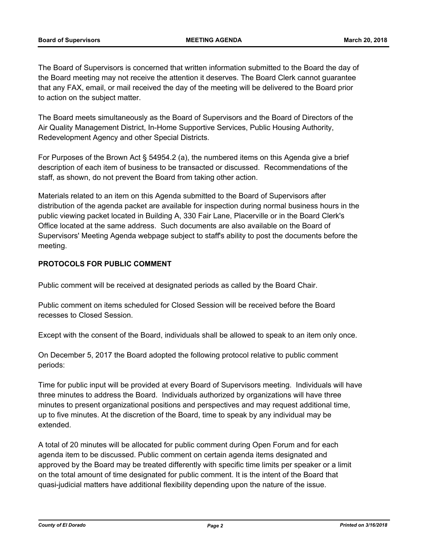The Board of Supervisors is concerned that written information submitted to the Board the day of the Board meeting may not receive the attention it deserves. The Board Clerk cannot guarantee that any FAX, email, or mail received the day of the meeting will be delivered to the Board prior to action on the subject matter.

The Board meets simultaneously as the Board of Supervisors and the Board of Directors of the Air Quality Management District, In-Home Supportive Services, Public Housing Authority, Redevelopment Agency and other Special Districts.

For Purposes of the Brown Act § 54954.2 (a), the numbered items on this Agenda give a brief description of each item of business to be transacted or discussed. Recommendations of the staff, as shown, do not prevent the Board from taking other action.

Materials related to an item on this Agenda submitted to the Board of Supervisors after distribution of the agenda packet are available for inspection during normal business hours in the public viewing packet located in Building A, 330 Fair Lane, Placerville or in the Board Clerk's Office located at the same address. Such documents are also available on the Board of Supervisors' Meeting Agenda webpage subject to staff's ability to post the documents before the meeting.

## **PROTOCOLS FOR PUBLIC COMMENT**

Public comment will be received at designated periods as called by the Board Chair.

Public comment on items scheduled for Closed Session will be received before the Board recesses to Closed Session.

Except with the consent of the Board, individuals shall be allowed to speak to an item only once.

On December 5, 2017 the Board adopted the following protocol relative to public comment periods:

Time for public input will be provided at every Board of Supervisors meeting. Individuals will have three minutes to address the Board. Individuals authorized by organizations will have three minutes to present organizational positions and perspectives and may request additional time, up to five minutes. At the discretion of the Board, time to speak by any individual may be extended.

A total of 20 minutes will be allocated for public comment during Open Forum and for each agenda item to be discussed. Public comment on certain agenda items designated and approved by the Board may be treated differently with specific time limits per speaker or a limit on the total amount of time designated for public comment. It is the intent of the Board that quasi-judicial matters have additional flexibility depending upon the nature of the issue.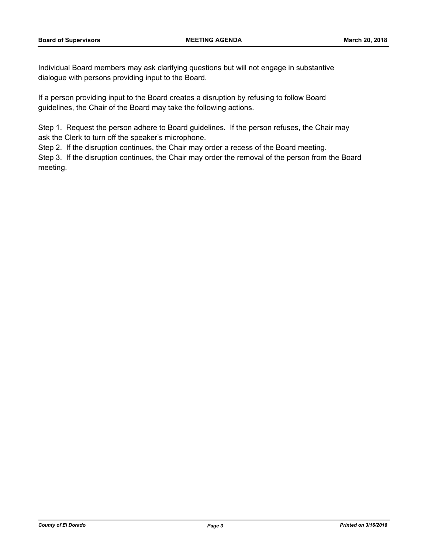Individual Board members may ask clarifying questions but will not engage in substantive dialogue with persons providing input to the Board.

If a person providing input to the Board creates a disruption by refusing to follow Board guidelines, the Chair of the Board may take the following actions.

Step 1. Request the person adhere to Board guidelines. If the person refuses, the Chair may ask the Clerk to turn off the speaker's microphone.

Step 2. If the disruption continues, the Chair may order a recess of the Board meeting.

Step 3. If the disruption continues, the Chair may order the removal of the person from the Board meeting.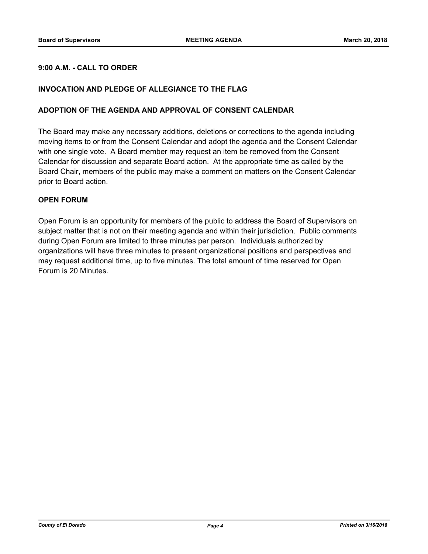## **9:00 A.M. - CALL TO ORDER**

#### **INVOCATION AND PLEDGE OF ALLEGIANCE TO THE FLAG**

#### **ADOPTION OF THE AGENDA AND APPROVAL OF CONSENT CALENDAR**

The Board may make any necessary additions, deletions or corrections to the agenda including moving items to or from the Consent Calendar and adopt the agenda and the Consent Calendar with one single vote. A Board member may request an item be removed from the Consent Calendar for discussion and separate Board action. At the appropriate time as called by the Board Chair, members of the public may make a comment on matters on the Consent Calendar prior to Board action.

#### **OPEN FORUM**

Open Forum is an opportunity for members of the public to address the Board of Supervisors on subject matter that is not on their meeting agenda and within their jurisdiction. Public comments during Open Forum are limited to three minutes per person. Individuals authorized by organizations will have three minutes to present organizational positions and perspectives and may request additional time, up to five minutes. The total amount of time reserved for Open Forum is 20 Minutes.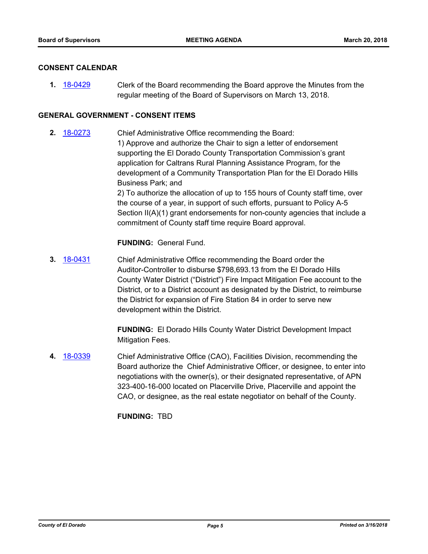#### **CONSENT CALENDAR**

**1.** [18-0429](http://eldorado.legistar.com/gateway.aspx?m=l&id=/matter.aspx?key=23774) Clerk of the Board recommending the Board approve the Minutes from the regular meeting of the Board of Supervisors on March 13, 2018.

#### **GENERAL GOVERNMENT - CONSENT ITEMS**

**2.** [18-0273](http://eldorado.legistar.com/gateway.aspx?m=l&id=/matter.aspx?key=23616) Chief Administrative Office recommending the Board: 1) Approve and authorize the Chair to sign a letter of endorsement supporting the El Dorado County Transportation Commission's grant application for Caltrans Rural Planning Assistance Program, for the development of a Community Transportation Plan for the El Dorado Hills Business Park; and 2) To authorize the allocation of up to 155 hours of County staff time, over the course of a year, in support of such efforts, pursuant to Policy A-5

Section II(A)(1) grant endorsements for non-county agencies that include a commitment of County staff time require Board approval.

#### **FUNDING:** General Fund.

**3.** [18-0431](http://eldorado.legistar.com/gateway.aspx?m=l&id=/matter.aspx?key=23776) Chief Administrative Office recommending the Board order the Auditor-Controller to disburse \$798,693.13 from the El Dorado Hills County Water District ("District") Fire Impact Mitigation Fee account to the District, or to a District account as designated by the District, to reimburse the District for expansion of Fire Station 84 in order to serve new development within the District.

> **FUNDING:** El Dorado Hills County Water District Development Impact Mitigation Fees.

**4.** [18-0339](http://eldorado.legistar.com/gateway.aspx?m=l&id=/matter.aspx?key=23682) Chief Administrative Office (CAO), Facilities Division, recommending the Board authorize the Chief Administrative Officer, or designee, to enter into negotiations with the owner(s), or their designated representative, of APN 323-400-16-000 located on Placerville Drive, Placerville and appoint the CAO, or designee, as the real estate negotiator on behalf of the County.

**FUNDING:** TBD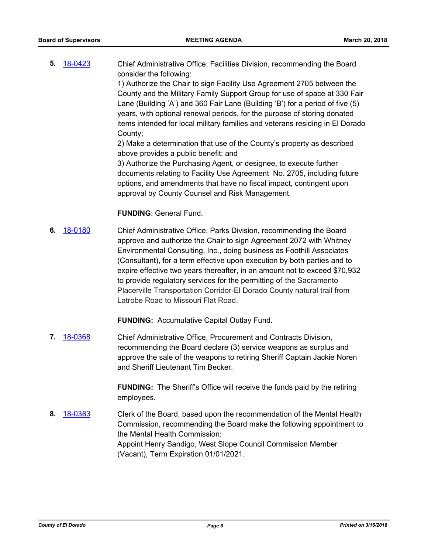**5.** [18-0423](http://eldorado.legistar.com/gateway.aspx?m=l&id=/matter.aspx?key=23768) Chief Administrative Office, Facilities Division, recommending the Board consider the following:

1) Authorize the Chair to sign Facility Use Agreement 2705 between the County and the Military Family Support Group for use of space at 330 Fair Lane (Building 'A') and 360 Fair Lane (Building 'B') for a period of five (5) years, with optional renewal periods, for the purpose of storing donated items intended for local military families and veterans residing in El Dorado County;

2) Make a determination that use of the County's property as described above provides a public benefit; and

3) Authorize the Purchasing Agent, or designee, to execute further documents relating to Facility Use Agreement No. 2705, including future options, and amendments that have no fiscal impact, contingent upon approval by County Counsel and Risk Management.

## **FUNDING**: General Fund.

**6.** [18-0180](http://eldorado.legistar.com/gateway.aspx?m=l&id=/matter.aspx?key=23522) Chief Administrative Office, Parks Division, recommending the Board approve and authorize the Chair to sign Agreement 2072 with Whitney Environmental Consulting, Inc., doing business as Foothill Associates (Consultant), for a term effective upon execution by both parties and to expire effective two years thereafter, in an amount not to exceed \$70,932 to provide regulatory services for the permitting of the Sacramento Placerville Transportation Corridor-El Dorado County natural trail from Latrobe Road to Missouri Flat Road.

**FUNDING:** Accumulative Capital Outlay Fund.

**7.** [18-0368](http://eldorado.legistar.com/gateway.aspx?m=l&id=/matter.aspx?key=23711) Chief Administrative Office, Procurement and Contracts Division, recommending the Board declare (3) service weapons as surplus and approve the sale of the weapons to retiring Sheriff Captain Jackie Noren and Sheriff Lieutenant Tim Becker.

> **FUNDING:** The Sheriff's Office will receive the funds paid by the retiring employees.

**8.** [18-0383](http://eldorado.legistar.com/gateway.aspx?m=l&id=/matter.aspx?key=23728) Clerk of the Board, based upon the recommendation of the Mental Health Commission, recommending the Board make the following appointment to the Mental Health Commission: Appoint Henry Sandigo, West Slope Council Commission Member (Vacant), Term Expiration 01/01/2021.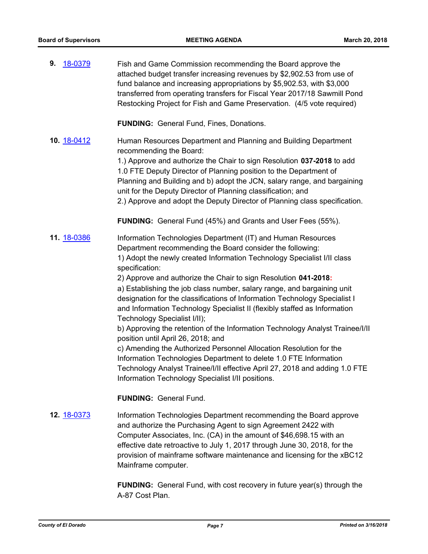| 18-0379<br>9. | Fish and Game Commission recommending the Board approve the<br>attached budget transfer increasing revenues by \$2,902.53 from use of<br>fund balance and increasing appropriations by \$5,902.53, with \$3,000<br>transferred from operating transfers for Fiscal Year 2017/18 Sawmill Pond<br>Restocking Project for Fish and Game Preservation. (4/5 vote required)                                                                                                                                                                                                                                                                                                                                                                                                                                                                                                                                                                                                |
|---------------|-----------------------------------------------------------------------------------------------------------------------------------------------------------------------------------------------------------------------------------------------------------------------------------------------------------------------------------------------------------------------------------------------------------------------------------------------------------------------------------------------------------------------------------------------------------------------------------------------------------------------------------------------------------------------------------------------------------------------------------------------------------------------------------------------------------------------------------------------------------------------------------------------------------------------------------------------------------------------|
|               | <b>FUNDING:</b> General Fund, Fines, Donations.                                                                                                                                                                                                                                                                                                                                                                                                                                                                                                                                                                                                                                                                                                                                                                                                                                                                                                                       |
| 10. 18-0412   | Human Resources Department and Planning and Building Department<br>recommending the Board:<br>1.) Approve and authorize the Chair to sign Resolution 037-2018 to add<br>1.0 FTE Deputy Director of Planning position to the Department of<br>Planning and Building and b) adopt the JCN, salary range, and bargaining<br>unit for the Deputy Director of Planning classification; and<br>2.) Approve and adopt the Deputy Director of Planning class specification.                                                                                                                                                                                                                                                                                                                                                                                                                                                                                                   |
|               | <b>FUNDING:</b> General Fund (45%) and Grants and User Fees (55%).                                                                                                                                                                                                                                                                                                                                                                                                                                                                                                                                                                                                                                                                                                                                                                                                                                                                                                    |
| 11. 18-0386   | Information Technologies Department (IT) and Human Resources<br>Department recommending the Board consider the following:<br>1) Adopt the newly created Information Technology Specialist I/II class<br>specification:<br>2) Approve and authorize the Chair to sign Resolution 041-2018:<br>a) Establishing the job class number, salary range, and bargaining unit<br>designation for the classifications of Information Technology Specialist I<br>and Information Technology Specialist II (flexibly staffed as Information<br>Technology Specialist I/II);<br>b) Approving the retention of the Information Technology Analyst Trainee/I/II<br>position until April 26, 2018; and<br>c) Amending the Authorized Personnel Allocation Resolution for the<br>Information Technologies Department to delete 1.0 FTE Information<br>Technology Analyst Trainee/I/II effective April 27, 2018 and adding 1.0 FTE<br>Information Technology Specialist I/II positions. |
|               | <b>FUNDING: General Fund.</b>                                                                                                                                                                                                                                                                                                                                                                                                                                                                                                                                                                                                                                                                                                                                                                                                                                                                                                                                         |
| 12. 18-0373   | Information Technologies Department recommending the Board approve<br>and authorize the Purchasing Agent to sign Agreement 2422 with<br>Computer Associates, Inc. (CA) in the amount of \$46,698.15 with an<br>effective date retroactive to July 1, 2017 through June 30, 2018, for the<br>provision of mainframe software maintenance and licensing for the xBC12                                                                                                                                                                                                                                                                                                                                                                                                                                                                                                                                                                                                   |

**FUNDING:** General Fund, with cost recovery in future year(s) through the A-87 Cost Plan.

Mainframe computer.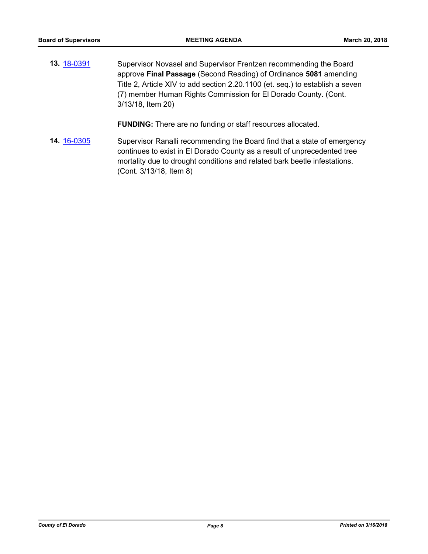**13.** [18-0391](http://eldorado.legistar.com/gateway.aspx?m=l&id=/matter.aspx?key=23736) Supervisor Novasel and Supervisor Frentzen recommending the Board approve **Final Passage** (Second Reading) of Ordinance **5081** amending Title 2, Article XIV to add section 2.20.1100 (et. seq.) to establish a seven (7) member Human Rights Commission for El Dorado County. (Cont. 3/13/18, Item 20)

**FUNDING:** There are no funding or staff resources allocated.

**14.** [16-0305](http://eldorado.legistar.com/gateway.aspx?m=l&id=/matter.aspx?key=20961) Supervisor Ranalli recommending the Board find that a state of emergency continues to exist in El Dorado County as a result of unprecedented tree mortality due to drought conditions and related bark beetle infestations. (Cont. 3/13/18, Item 8)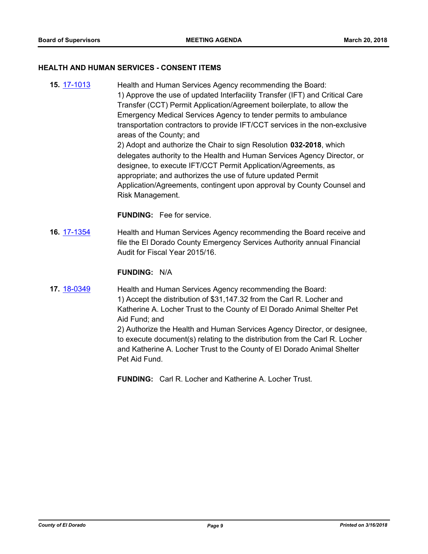#### **HEALTH AND HUMAN SERVICES - CONSENT ITEMS**

**15.** [17-1013](http://eldorado.legistar.com/gateway.aspx?m=l&id=/matter.aspx?key=22957) Health and Human Services Agency recommending the Board: 1) Approve the use of updated Interfacility Transfer (IFT) and Critical Care Transfer (CCT) Permit Application/Agreement boilerplate, to allow the Emergency Medical Services Agency to tender permits to ambulance transportation contractors to provide IFT/CCT services in the non-exclusive areas of the County; and 2) Adopt and authorize the Chair to sign Resolution **032-2018**, which delegates authority to the Health and Human Services Agency Director, or designee, to execute IFT/CCT Permit Application/Agreements, as appropriate; and authorizes the use of future updated Permit Application/Agreements, contingent upon approval by County Counsel and Risk Management.

**FUNDING:** Fee for service.

**16.** [17-1354](http://eldorado.legistar.com/gateway.aspx?m=l&id=/matter.aspx?key=23300) Health and Human Services Agency recommending the Board receive and file the El Dorado County Emergency Services Authority annual Financial Audit for Fiscal Year 2015/16.

#### **FUNDING:** N/A

**17.** [18-0349](http://eldorado.legistar.com/gateway.aspx?m=l&id=/matter.aspx?key=23692) Health and Human Services Agency recommending the Board: 1) Accept the distribution of \$31,147.32 from the Carl R. Locher and Katherine A. Locher Trust to the County of El Dorado Animal Shelter Pet Aid Fund; and 2) Authorize the Health and Human Services Agency Director, or designee,

to execute document(s) relating to the distribution from the Carl R. Locher and Katherine A. Locher Trust to the County of El Dorado Animal Shelter Pet Aid Fund.

**FUNDING:** Carl R. Locher and Katherine A. Locher Trust.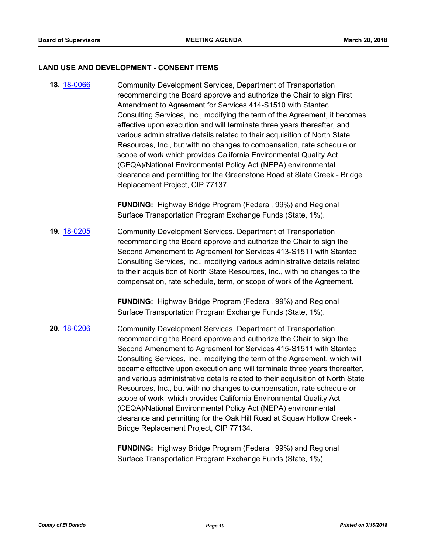#### **LAND USE AND DEVELOPMENT - CONSENT ITEMS**

**18.** [18-0066](http://eldorado.legistar.com/gateway.aspx?m=l&id=/matter.aspx?key=23407) Community Development Services, Department of Transportation recommending the Board approve and authorize the Chair to sign First Amendment to Agreement for Services 414-S1510 with Stantec Consulting Services, Inc., modifying the term of the Agreement, it becomes effective upon execution and will terminate three years thereafter, and various administrative details related to their acquisition of North State Resources, Inc., but with no changes to compensation, rate schedule or scope of work which provides California Environmental Quality Act (CEQA)/National Environmental Policy Act (NEPA) environmental clearance and permitting for the Greenstone Road at Slate Creek - Bridge Replacement Project, CIP 77137.

> **FUNDING:** Highway Bridge Program (Federal, 99%) and Regional Surface Transportation Program Exchange Funds (State, 1%).

**19.** [18-0205](http://eldorado.legistar.com/gateway.aspx?m=l&id=/matter.aspx?key=23547) Community Development Services, Department of Transportation recommending the Board approve and authorize the Chair to sign the Second Amendment to Agreement for Services 413-S1511 with Stantec Consulting Services, Inc., modifying various administrative details related to their acquisition of North State Resources, Inc., with no changes to the compensation, rate schedule, term, or scope of work of the Agreement.

> **FUNDING:** Highway Bridge Program (Federal, 99%) and Regional Surface Transportation Program Exchange Funds (State, 1%).

**20.** [18-0206](http://eldorado.legistar.com/gateway.aspx?m=l&id=/matter.aspx?key=23548) Community Development Services, Department of Transportation recommending the Board approve and authorize the Chair to sign the Second Amendment to Agreement for Services 415-S1511 with Stantec Consulting Services, Inc., modifying the term of the Agreement, which will became effective upon execution and will terminate three years thereafter, and various administrative details related to their acquisition of North State Resources, Inc., but with no changes to compensation, rate schedule or scope of work which provides California Environmental Quality Act (CEQA)/National Environmental Policy Act (NEPA) environmental clearance and permitting for the Oak Hill Road at Squaw Hollow Creek - Bridge Replacement Project, CIP 77134.

> **FUNDING:** Highway Bridge Program (Federal, 99%) and Regional Surface Transportation Program Exchange Funds (State, 1%).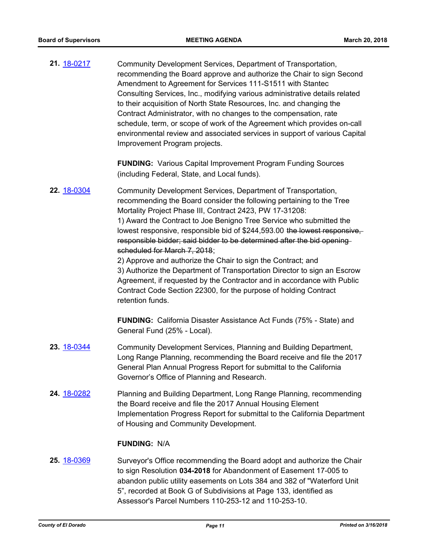| 21. 18-0217 | Community Development Services, Department of Transportation,<br>recommending the Board approve and authorize the Chair to sign Second<br>Amendment to Agreement for Services 111-S1511 with Stantec<br>Consulting Services, Inc., modifying various administrative details related<br>to their acquisition of North State Resources, Inc. and changing the<br>Contract Administrator, with no changes to the compensation, rate<br>schedule, term, or scope of work of the Agreement which provides on-call<br>environmental review and associated services in support of various Capital<br>Improvement Program projects.                                                                                                                                                     |
|-------------|---------------------------------------------------------------------------------------------------------------------------------------------------------------------------------------------------------------------------------------------------------------------------------------------------------------------------------------------------------------------------------------------------------------------------------------------------------------------------------------------------------------------------------------------------------------------------------------------------------------------------------------------------------------------------------------------------------------------------------------------------------------------------------|
|             | <b>FUNDING:</b> Various Capital Improvement Program Funding Sources<br>(including Federal, State, and Local funds).                                                                                                                                                                                                                                                                                                                                                                                                                                                                                                                                                                                                                                                             |
| 22. 18-0304 | Community Development Services, Department of Transportation,<br>recommending the Board consider the following pertaining to the Tree<br>Mortality Project Phase III, Contract 2423, PW 17-31208:<br>1) Award the Contract to Joe Benigno Tree Service who submitted the<br>lowest responsive, responsible bid of \$244,593.00 the lowest responsive,<br>responsible bidder; said bidder to be determined after the bid opening-<br>scheduled for March 7, 2018;<br>2) Approve and authorize the Chair to sign the Contract; and<br>3) Authorize the Department of Transportation Director to sign an Escrow<br>Agreement, if requested by the Contractor and in accordance with Public<br>Contract Code Section 22300, for the purpose of holding Contract<br>retention funds. |
|             | <b>FUNDING:</b> California Disaster Assistance Act Funds (75% - State) and<br>General Fund (25% - Local).                                                                                                                                                                                                                                                                                                                                                                                                                                                                                                                                                                                                                                                                       |
| 23. 18-0344 | Community Development Services, Planning and Building Department,<br>Long Range Planning, recommending the Board receive and file the 2017<br>General Plan Annual Progress Report for submittal to the California<br>Governor's Office of Planning and Research.                                                                                                                                                                                                                                                                                                                                                                                                                                                                                                                |

**24.** [18-0282](http://eldorado.legistar.com/gateway.aspx?m=l&id=/matter.aspx?key=23625) Planning and Building Department, Long Range Planning, recommending the Board receive and file the 2017 Annual Housing Element Implementation Progress Report for submittal to the California Department of Housing and Community Development.

#### **FUNDING:** N/A

**25.** [18-0369](http://eldorado.legistar.com/gateway.aspx?m=l&id=/matter.aspx?key=23712) Surveyor's Office recommending the Board adopt and authorize the Chair to sign Resolution **034-2018** for Abandonment of Easement 17-005 to abandon public utility easements on Lots 384 and 382 of "Waterford Unit 5", recorded at Book G of Subdivisions at Page 133, identified as Assessor's Parcel Numbers 110-253-12 and 110-253-10.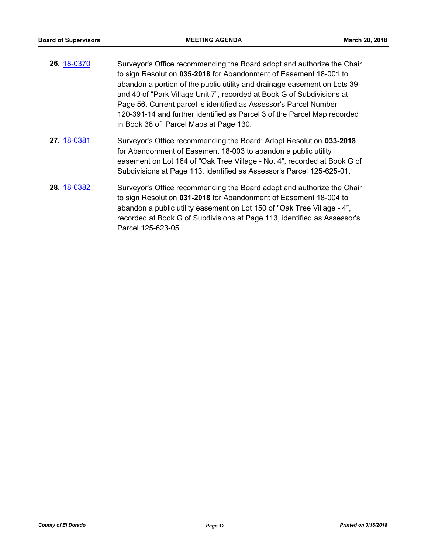| 26. 18-0370 | Surveyor's Office recommending the Board adopt and authorize the Chair   |
|-------------|--------------------------------------------------------------------------|
|             | to sign Resolution 035-2018 for Abandonment of Easement 18-001 to        |
|             | abandon a portion of the public utility and drainage easement on Lots 39 |
|             | and 40 of "Park Village Unit 7", recorded at Book G of Subdivisions at   |
|             | Page 56. Current parcel is identified as Assessor's Parcel Number        |
|             | 120-391-14 and further identified as Parcel 3 of the Parcel Map recorded |
|             | in Book 38 of Parcel Maps at Page 130.                                   |
| 27. 18-0381 | Surveyor's Office recommending the Board: Adopt Resolution 033-2018      |
|             | for Abandonment of Easement 18-003 to abandon a public utility           |
|             | easement on Lot 164 of "Oak Tree Village - No. 4", recorded at Book G of |

**28.** [18-0382](http://eldorado.legistar.com/gateway.aspx?m=l&id=/matter.aspx?key=23727) Surveyor's Office recommending the Board adopt and authorize the Chair to sign Resolution **031-2018** for Abandonment of Easement 18-004 to abandon a public utility easement on Lot 150 of "Oak Tree Village - 4", recorded at Book G of Subdivisions at Page 113, identified as Assessor's Parcel 125-623-05.

Subdivisions at Page 113, identified as Assessor's Parcel 125-625-01.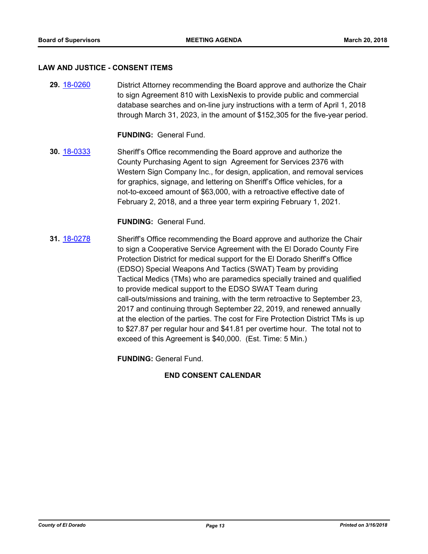#### **LAW AND JUSTICE - CONSENT ITEMS**

**29.** [18-0260](http://eldorado.legistar.com/gateway.aspx?m=l&id=/matter.aspx?key=23603) District Attorney recommending the Board approve and authorize the Chair to sign Agreement 810 with LexisNexis to provide public and commercial database searches and on-line jury instructions with a term of April 1, 2018 through March 31, 2023, in the amount of \$152,305 for the five-year period.

**FUNDING:** General Fund.

**30.** [18-0333](http://eldorado.legistar.com/gateway.aspx?m=l&id=/matter.aspx?key=23676) Sheriff's Office recommending the Board approve and authorize the County Purchasing Agent to sign Agreement for Services 2376 with Western Sign Company Inc., for design, application, and removal services for graphics, signage, and lettering on Sheriff's Office vehicles, for a not-to-exceed amount of \$63,000, with a retroactive effective date of February 2, 2018, and a three year term expiring February 1, 2021.

**FUNDING:** General Fund.

**31.** [18-0278](http://eldorado.legistar.com/gateway.aspx?m=l&id=/matter.aspx?key=23621) Sheriff's Office recommending the Board approve and authorize the Chair to sign a Cooperative Service Agreement with the El Dorado County Fire Protection District for medical support for the El Dorado Sheriff's Office (EDSO) Special Weapons And Tactics (SWAT) Team by providing Tactical Medics (TMs) who are paramedics specially trained and qualified to provide medical support to the EDSO SWAT Team during call-outs/missions and training, with the term retroactive to September 23, 2017 and continuing through September 22, 2019, and renewed annually at the election of the parties. The cost for Fire Protection District TMs is up to \$27.87 per regular hour and \$41.81 per overtime hour. The total not to exceed of this Agreement is \$40,000. (Est. Time: 5 Min.)

**FUNDING:** General Fund.

## **END CONSENT CALENDAR**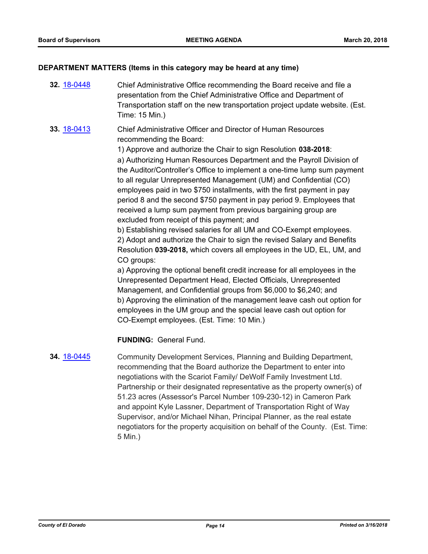#### **DEPARTMENT MATTERS (Items in this category may be heard at any time)**

- **32.** [18-0448](http://eldorado.legistar.com/gateway.aspx?m=l&id=/matter.aspx?key=23793) Chief Administrative Office recommending the Board receive and file a presentation from the Chief Administrative Office and Department of Transportation staff on the new transportation project update website. (Est. Time: 15 Min.)
- **33.** [18-0413](http://eldorado.legistar.com/gateway.aspx?m=l&id=/matter.aspx?key=23758) Chief Administrative Officer and Director of Human Resources recommending the Board:

1) Approve and authorize the Chair to sign Resolution **038-2018**:

a) Authorizing Human Resources Department and the Payroll Division of the Auditor/Controller's Office to implement a one-time lump sum payment to all regular Unrepresented Management (UM) and Confidential (CO) employees paid in two \$750 installments, with the first payment in pay period 8 and the second \$750 payment in pay period 9. Employees that received a lump sum payment from previous bargaining group are excluded from receipt of this payment; and

b) Establishing revised salaries for all UM and CO-Exempt employees. 2) Adopt and authorize the Chair to sign the revised Salary and Benefits Resolution **039-2018,** which covers all employees in the UD, EL, UM, and CO groups:

a) Approving the optional benefit credit increase for all employees in the Unrepresented Department Head, Elected Officials, Unrepresented Management, and Confidential groups from \$6,000 to \$6,240; and b) Approving the elimination of the management leave cash out option for employees in the UM group and the special leave cash out option for CO-Exempt employees. (Est. Time: 10 Min.)

## **FUNDING:** General Fund.

**34.** [18-0445](http://eldorado.legistar.com/gateway.aspx?m=l&id=/matter.aspx?key=23790) Community Development Services, Planning and Building Department, recommending that the Board authorize the Department to enter into negotiations with the Scariot Family/ DeWolf Family Investment Ltd. Partnership or their designated representative as the property owner(s) of 51.23 acres (Assessor's Parcel Number 109-230-12) in Cameron Park and appoint Kyle Lassner, Department of Transportation Right of Way Supervisor, and/or Michael Nihan, Principal Planner, as the real estate negotiators for the property acquisition on behalf of the County. (Est. Time: 5 Min.)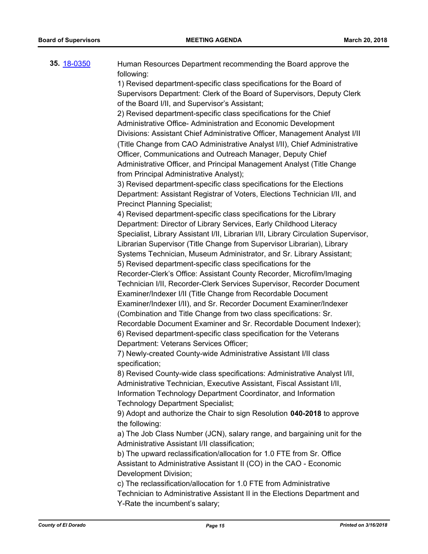| 35. 18-0350 | Human Resources Department recommending the Board approve the                       |
|-------------|-------------------------------------------------------------------------------------|
|             | following:                                                                          |
|             | 1) Revised department-specific class specifications for the Board of                |
|             | Supervisors Department: Clerk of the Board of Supervisors, Deputy Clerk             |
|             | of the Board I/II, and Supervisor's Assistant;                                      |
|             | 2) Revised department-specific class specifications for the Chief                   |
|             | Administrative Office- Administration and Economic Development                      |
|             | Divisions: Assistant Chief Administrative Officer, Management Analyst I/II          |
|             | (Title Change from CAO Administrative Analyst I/II), Chief Administrative           |
|             | Officer, Communications and Outreach Manager, Deputy Chief                          |
|             | Administrative Officer, and Principal Management Analyst (Title Change              |
|             | from Principal Administrative Analyst);                                             |
|             | 3) Revised department-specific class specifications for the Elections               |
|             | Department: Assistant Registrar of Voters, Elections Technician I/II, and           |
|             | <b>Precinct Planning Specialist;</b>                                                |
|             | 4) Revised department-specific class specifications for the Library                 |
|             | Department: Director of Library Services, Early Childhood Literacy                  |
|             | Specialist, Library Assistant I/II, Librarian I/II, Library Circulation Supervisor, |
|             |                                                                                     |
|             | Librarian Supervisor (Title Change from Supervisor Librarian), Library              |
|             | Systems Technician, Museum Administrator, and Sr. Library Assistant;                |
|             | 5) Revised department-specific class specifications for the                         |
|             | Recorder-Clerk's Office: Assistant County Recorder, Microfilm/Imaging               |
|             | Technician I/II, Recorder-Clerk Services Supervisor, Recorder Document              |
|             | Examiner/Indexer I/II (Title Change from Recordable Document                        |
|             | Examiner/Indexer I/II), and Sr. Recorder Document Examiner/Indexer                  |
|             | (Combination and Title Change from two class specifications: Sr.                    |
|             | Recordable Document Examiner and Sr. Recordable Document Indexer);                  |
|             | 6) Revised department-specific class specification for the Veterans                 |
|             | Department: Veterans Services Officer;                                              |
|             | 7) Newly-created County-wide Administrative Assistant I/II class                    |
|             | specification;                                                                      |
|             | 8) Revised County-wide class specifications: Administrative Analyst I/II,           |
|             | Administrative Technician, Executive Assistant, Fiscal Assistant I/II,              |
|             | Information Technology Department Coordinator, and Information                      |
|             | <b>Technology Department Specialist;</b>                                            |
|             | 9) Adopt and authorize the Chair to sign Resolution 040-2018 to approve             |
|             | the following:                                                                      |
|             | a) The Job Class Number (JCN), salary range, and bargaining unit for the            |
|             | Administrative Assistant I/II classification;                                       |
|             | b) The upward reclassification/allocation for 1.0 FTE from Sr. Office               |
|             | Assistant to Administrative Assistant II (CO) in the CAO - Economic                 |
|             | Development Division;                                                               |
|             | c) The reclassification/allocation for 1.0 FTE from Administrative                  |
|             | Technician to Administrative Assistant II in the Elections Department and           |
|             | Y-Rate the incumbent's salary;                                                      |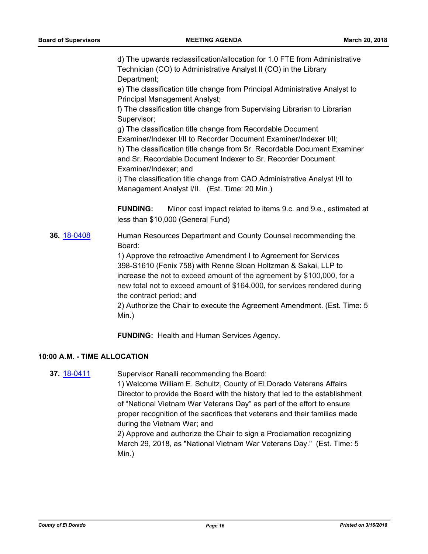d) The upwards reclassification/allocation for 1.0 FTE from Administrative Technician (CO) to Administrative Analyst II (CO) in the Library Department;

e) The classification title change from Principal Administrative Analyst to Principal Management Analyst;

f) The classification title change from Supervising Librarian to Librarian Supervisor;

g) The classification title change from Recordable Document Examiner/Indexer I/II to Recorder Document Examiner/Indexer I/II; h) The classification title change from Sr. Recordable Document Examiner and Sr. Recordable Document Indexer to Sr. Recorder Document Examiner/Indexer; and

i) The classification title change from CAO Administrative Analyst I/II to Management Analyst I/II. (Est. Time: 20 Min.)

**FUNDING:** Minor cost impact related to items 9.c. and 9.e., estimated at less than \$10,000 (General Fund)

**36.** [18-0408](http://eldorado.legistar.com/gateway.aspx?m=l&id=/matter.aspx?key=23753) Human Resources Department and County Counsel recommending the Board:

> 1) Approve the retroactive Amendment I to Agreement for Services 398-S1610 (Fenix 758) with Renne Sloan Holtzman & Sakai, LLP to increase the not to exceed amount of the agreement by \$100,000, for a new total not to exceed amount of \$164,000, for services rendered during the contract period; and

2) Authorize the Chair to execute the Agreement Amendment. (Est. Time: 5 Min.)

**FUNDING:** Health and Human Services Agency.

## **10:00 A.M. - TIME ALLOCATION**

**37.** [18-0411](http://eldorado.legistar.com/gateway.aspx?m=l&id=/matter.aspx?key=23756) Supervisor Ranalli recommending the Board:

1) Welcome William E. Schultz, County of El Dorado Veterans Affairs Director to provide the Board with the history that led to the establishment of "National Vietnam War Veterans Day" as part of the effort to ensure proper recognition of the sacrifices that veterans and their families made during the Vietnam War; and

2) Approve and authorize the Chair to sign a Proclamation recognizing March 29, 2018, as "National Vietnam War Veterans Day." (Est. Time: 5 Min.)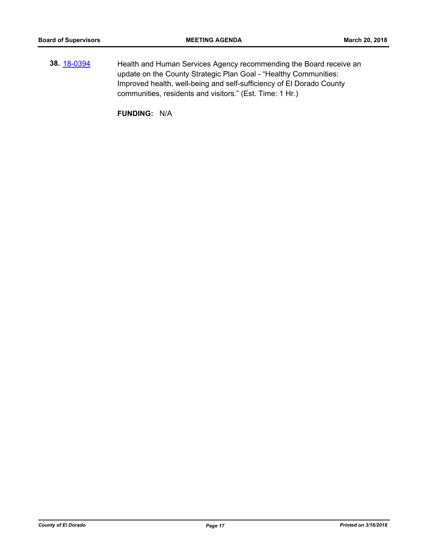**38.** [18-0394](http://eldorado.legistar.com/gateway.aspx?m=l&id=/matter.aspx?key=23739) Health and Human Services Agency recommending the Board receive an update on the County Strategic Plan Goal - "Healthy Communities: Improved health, well-being and self-sufficiency of El Dorado County communities, residents and visitors." (Est. Time: 1 Hr.)

**FUNDING:** N/A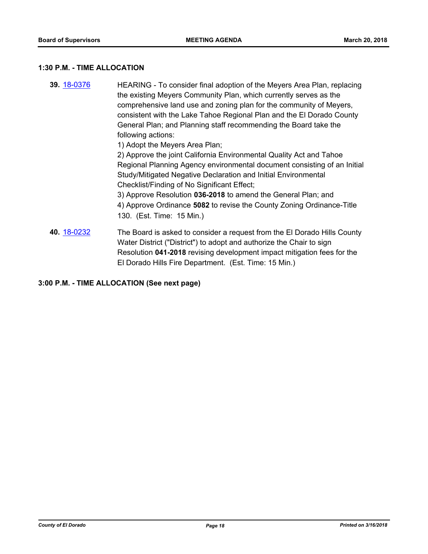#### **1:30 P.M. - TIME ALLOCATION**

**39.** [18-0376](http://eldorado.legistar.com/gateway.aspx?m=l&id=/matter.aspx?key=23721) HEARING - To consider final adoption of the Meyers Area Plan, replacing the existing Meyers Community Plan, which currently serves as the comprehensive land use and zoning plan for the community of Meyers, consistent with the Lake Tahoe Regional Plan and the El Dorado County General Plan; and Planning staff recommending the Board take the following actions: 1) Adopt the Meyers Area Plan; 2) Approve the joint California Environmental Quality Act and Tahoe Regional Planning Agency environmental document consisting of an Initial Study/Mitigated Negative Declaration and Initial Environmental Checklist/Finding of No Significant Effect; 3) Approve Resolution **036-2018** to amend the General Plan; and 4) Approve Ordinance **5082** to revise the County Zoning Ordinance-Title 130. (Est. Time: 15 Min.) **40.** [18-0232](http://eldorado.legistar.com/gateway.aspx?m=l&id=/matter.aspx?key=23574) The Board is asked to consider a request from the El Dorado Hills County Water District ("District") to adopt and authorize the Chair to sign Resolution **041-2018** revising development impact mitigation fees for the El Dorado Hills Fire Department. (Est. Time: 15 Min.)

**3:00 P.M. - TIME ALLOCATION (See next page)**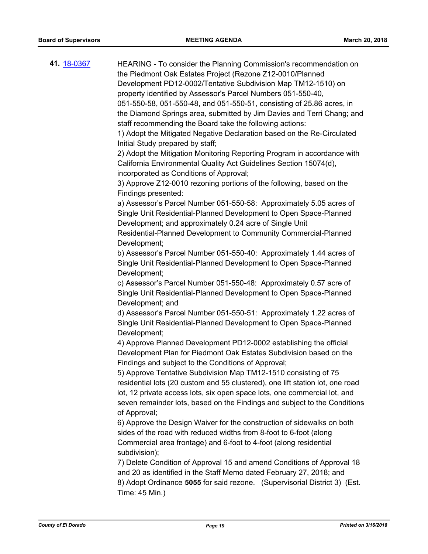| 41. <u>18-0367</u> | HEARING - To consider the Planning Commission's recommendation on<br>the Piedmont Oak Estates Project (Rezone Z12-0010/Planned                                                                                                               |
|--------------------|----------------------------------------------------------------------------------------------------------------------------------------------------------------------------------------------------------------------------------------------|
|                    | Development PD12-0002/Tentative Subdivision Map TM12-1510) on                                                                                                                                                                                |
|                    | property identified by Assessor's Parcel Numbers 051-550-40,                                                                                                                                                                                 |
|                    | 051-550-58, 051-550-48, and 051-550-51, consisting of 25.86 acres, in                                                                                                                                                                        |
|                    | the Diamond Springs area, submitted by Jim Davies and Terri Chang; and<br>staff recommending the Board take the following actions:                                                                                                           |
|                    | 1) Adopt the Mitigated Negative Declaration based on the Re-Circulated<br>Initial Study prepared by staff;                                                                                                                                   |
|                    | 2) Adopt the Mitigation Monitoring Reporting Program in accordance with<br>California Environmental Quality Act Guidelines Section 15074(d),                                                                                                 |
|                    | incorporated as Conditions of Approval;<br>3) Approve Z12-0010 rezoning portions of the following, based on the<br>Findings presented:                                                                                                       |
|                    | a) Assessor's Parcel Number 051-550-58: Approximately 5.05 acres of<br>Single Unit Residential-Planned Development to Open Space-Planned<br>Development; and approximately 0.24 acre of Single Unit                                          |
|                    | Residential-Planned Development to Community Commercial-Planned<br>Development;                                                                                                                                                              |
|                    | b) Assessor's Parcel Number 051-550-40: Approximately 1.44 acres of<br>Single Unit Residential-Planned Development to Open Space-Planned<br>Development;                                                                                     |
|                    | c) Assessor's Parcel Number 051-550-48: Approximately 0.57 acre of<br>Single Unit Residential-Planned Development to Open Space-Planned<br>Development; and                                                                                  |
|                    | d) Assessor's Parcel Number 051-550-51: Approximately 1.22 acres of<br>Single Unit Residential-Planned Development to Open Space-Planned<br>Development;                                                                                     |
|                    | 4) Approve Planned Development PD12-0002 establishing the official<br>Development Plan for Piedmont Oak Estates Subdivision based on the<br>Findings and subject to the Conditions of Approval;                                              |
|                    | 5) Approve Tentative Subdivision Map TM12-1510 consisting of 75                                                                                                                                                                              |
|                    | residential lots (20 custom and 55 clustered), one lift station lot, one road<br>lot, 12 private access lots, six open space lots, one commercial lot, and<br>seven remainder lots, based on the Findings and subject to the Conditions      |
|                    | of Approval;                                                                                                                                                                                                                                 |
|                    | 6) Approve the Design Waiver for the construction of sidewalks on both<br>sides of the road with reduced widths from 8-foot to 6-foot (along<br>Commercial area frontage) and 6-foot to 4-foot (along residential<br>subdivision);           |
|                    | 7) Delete Condition of Approval 15 and amend Conditions of Approval 18<br>and 20 as identified in the Staff Memo dated February 27, 2018; and<br>8) Adopt Ordinance 5055 for said rezone. (Supervisorial District 3) (Est.<br>Time: 45 Min.) |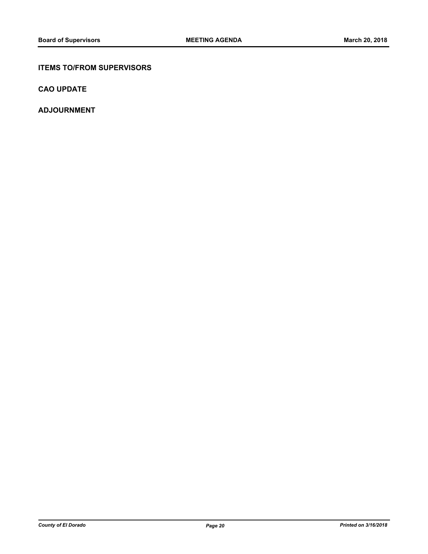## **ITEMS TO/FROM SUPERVISORS**

**CAO UPDATE**

**ADJOURNMENT**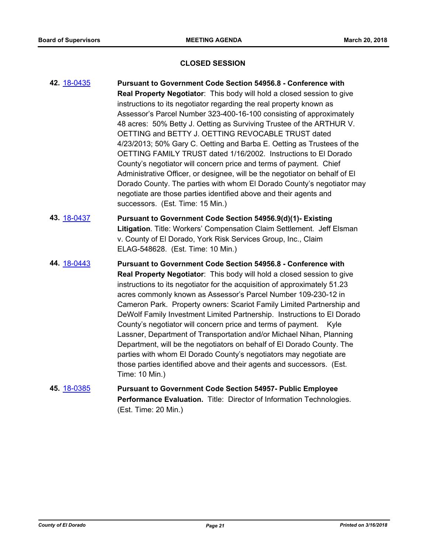#### **CLOSED SESSION**

- **42.** [18-0435](http://eldorado.legistar.com/gateway.aspx?m=l&id=/matter.aspx?key=23780) **Pursuant to Government Code Section 54956.8 Conference with Real Property Negotiator**: This body will hold a closed session to give instructions to its negotiator regarding the real property known as Assessor's Parcel Number 323-400-16-100 consisting of approximately 48 acres: 50% Betty J. Oetting as Surviving Trustee of the ARTHUR V. OETTING and BETTY J. OETTING REVOCABLE TRUST dated 4/23/2013; 50% Gary C. Oetting and Barba E. Oetting as Trustees of the OETTING FAMILY TRUST dated 1/16/2002. Instructions to El Dorado County's negotiator will concern price and terms of payment. Chief Administrative Officer, or designee, will be the negotiator on behalf of El Dorado County. The parties with whom El Dorado County's negotiator may negotiate are those parties identified above and their agents and successors. (Est. Time: 15 Min.)
- **43.** [18-0437](http://eldorado.legistar.com/gateway.aspx?m=l&id=/matter.aspx?key=23782) **Pursuant to Government Code Section 54956.9(d)(1)- Existing Litigation**. Title: Workers' Compensation Claim Settlement. Jeff Elsman v. County of El Dorado, York Risk Services Group, Inc., Claim ELAG-548628. (Est. Time: 10 Min.)
- **44.** [18-0443](http://eldorado.legistar.com/gateway.aspx?m=l&id=/matter.aspx?key=23788) **Pursuant to Government Code Section 54956.8 Conference with Real Property Negotiator**: This body will hold a closed session to give instructions to its negotiator for the acquisition of approximately 51.23 acres commonly known as Assessor's Parcel Number 109-230-12 in Cameron Park. Property owners: Scariot Family Limited Partnership and DeWolf Family Investment Limited Partnership. Instructions to El Dorado County's negotiator will concern price and terms of payment. Kyle Lassner, Department of Transportation and/or Michael Nihan, Planning Department, will be the negotiators on behalf of El Dorado County. The parties with whom El Dorado County's negotiators may negotiate are those parties identified above and their agents and successors. (Est. Time: 10 Min.)
- **45.** [18-0385](http://eldorado.legistar.com/gateway.aspx?m=l&id=/matter.aspx?key=23730) **Pursuant to Government Code Section 54957- Public Employee Performance Evaluation.** Title: Director of Information Technologies. (Est. Time: 20 Min.)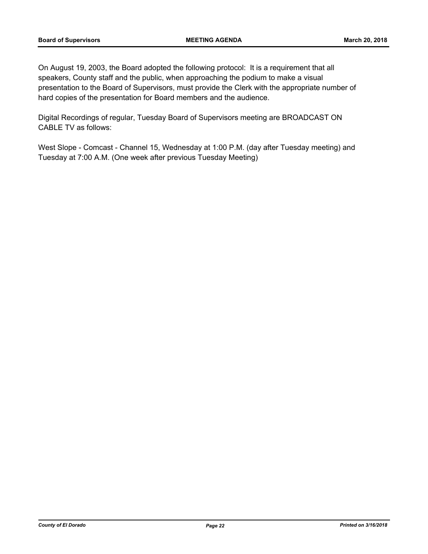On August 19, 2003, the Board adopted the following protocol: It is a requirement that all speakers, County staff and the public, when approaching the podium to make a visual presentation to the Board of Supervisors, must provide the Clerk with the appropriate number of hard copies of the presentation for Board members and the audience.

Digital Recordings of regular, Tuesday Board of Supervisors meeting are BROADCAST ON CABLE TV as follows:

West Slope - Comcast - Channel 15, Wednesday at 1:00 P.M. (day after Tuesday meeting) and Tuesday at 7:00 A.M. (One week after previous Tuesday Meeting)